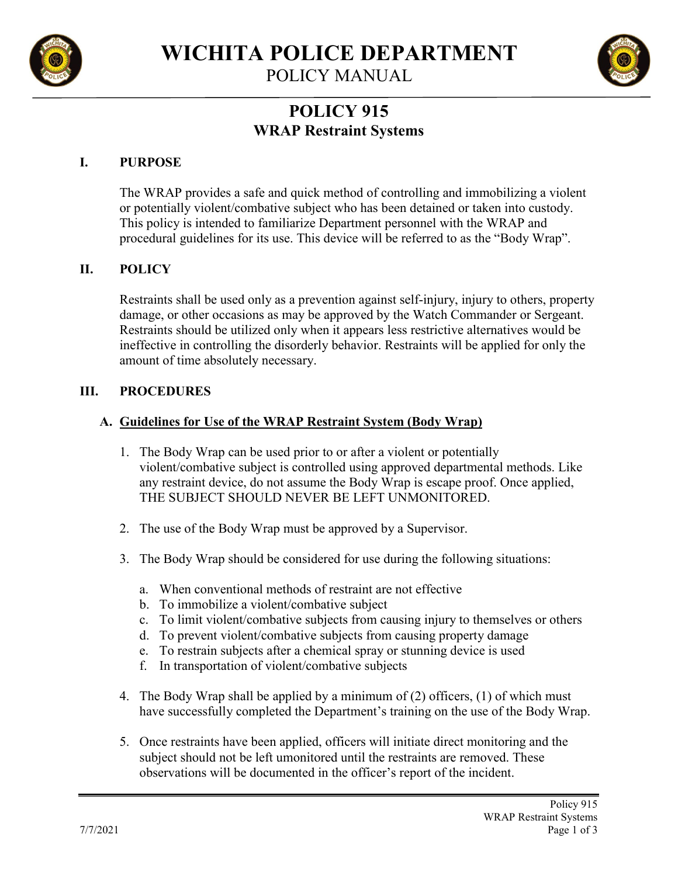

**WICHITA POLICE DEPARTMENT**

POLICY MANUAL



# **POLICY 915 WRAP Restraint Systems**

#### **I. PURPOSE**

The WRAP provides a safe and quick method of controlling and immobilizing a violent or potentially violent/combative subject who has been detained or taken into custody. This policy is intended to familiarize Department personnel with the WRAP and procedural guidelines for its use. This device will be referred to as the "Body Wrap".

#### **II. POLICY**

Restraints shall be used only as a prevention against self-injury, injury to others, property damage, or other occasions as may be approved by the Watch Commander or Sergeant. Restraints should be utilized only when it appears less restrictive alternatives would be ineffective in controlling the disorderly behavior. Restraints will be applied for only the amount of time absolutely necessary.

#### **III. PROCEDURES**

#### **A. Guidelines for Use of the WRAP Restraint System (Body Wrap)**

- 1. The Body Wrap can be used prior to or after a violent or potentially violent/combative subject is controlled using approved departmental methods. Like any restraint device, do not assume the Body Wrap is escape proof. Once applied, THE SUBJECT SHOULD NEVER BE LEFT UNMONITORED.
- 2. The use of the Body Wrap must be approved by a Supervisor.
- 3. The Body Wrap should be considered for use during the following situations:
	- a. When conventional methods of restraint are not effective
	- b. To immobilize a violent/combative subject
	- c. To limit violent/combative subjects from causing injury to themselves or others
	- d. To prevent violent/combative subjects from causing property damage
	- e. To restrain subjects after a chemical spray or stunning device is used
	- f. In transportation of violent/combative subjects
- 4. The Body Wrap shall be applied by a minimum of (2) officers, (1) of which must have successfully completed the Department's training on the use of the Body Wrap.
- 5. Once restraints have been applied, officers will initiate direct monitoring and the subject should not be left umonitored until the restraints are removed. These observations will be documented in the officer's report of the incident.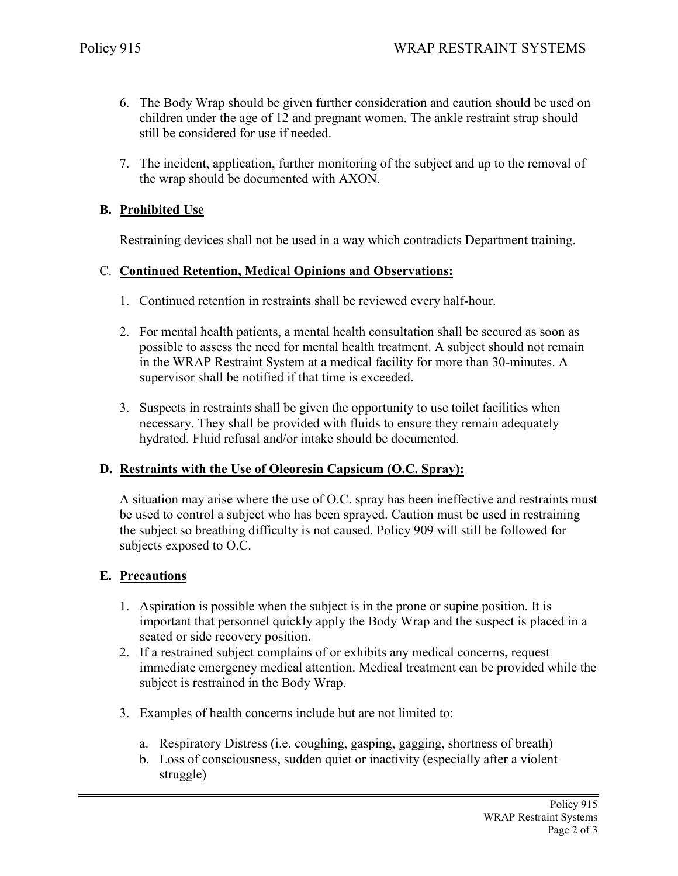- 6. The Body Wrap should be given further consideration and caution should be used on children under the age of 12 and pregnant women. The ankle restraint strap should still be considered for use if needed.
- 7. The incident, application, further monitoring of the subject and up to the removal of the wrap should be documented with AXON.

# **B. Prohibited Use**

Restraining devices shall not be used in a way which contradicts Department training.

# C. **Continued Retention, Medical Opinions and Observations:**

- 1. Continued retention in restraints shall be reviewed every half-hour.
- 2. For mental health patients, a mental health consultation shall be secured as soon as possible to assess the need for mental health treatment. A subject should not remain in the WRAP Restraint System at a medical facility for more than 30-minutes. A supervisor shall be notified if that time is exceeded.
- 3. Suspects in restraints shall be given the opportunity to use toilet facilities when necessary. They shall be provided with fluids to ensure they remain adequately hydrated. Fluid refusal and/or intake should be documented.

# **D. Restraints with the Use of Oleoresin Capsicum (O.C. Spray):**

A situation may arise where the use of O.C. spray has been ineffective and restraints must be used to control a subject who has been sprayed. Caution must be used in restraining the subject so breathing difficulty is not caused. Policy 909 will still be followed for subjects exposed to O.C.

#### **E. Precautions**

- 1. Aspiration is possible when the subject is in the prone or supine position. It is important that personnel quickly apply the Body Wrap and the suspect is placed in a seated or side recovery position.
- 2. If a restrained subject complains of or exhibits any medical concerns, request immediate emergency medical attention. Medical treatment can be provided while the subject is restrained in the Body Wrap.
- 3. Examples of health concerns include but are not limited to:
	- a. Respiratory Distress (i.e. coughing, gasping, gagging, shortness of breath)
	- b. Loss of consciousness, sudden quiet or inactivity (especially after a violent struggle)